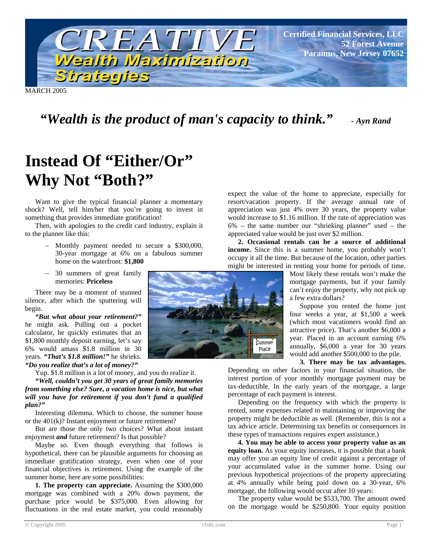

MARCH 2005

# *"Wealth is the product of man's capacity to think." - Ayn Rand*

# **Instead Of "Either/Or" Why Not "Both?"**

Want to give the typical financial planner a momentary shock? Well, tell him/her that you're going to invest in something that provides immediate gratification!

Then, with apologies to the credit card industry, explain it to the planner like this:

- − Monthly payment needed to secure a \$300,000, 30-year mortgage at 6% on a fabulous summer home on the waterfront: **\$1,800**
- − 30 summers of great family memories: **Priceless**

There may be a moment of stunned silence, after which the sputtering will begin.

*"But what about your retirement?"* he might ask. Pulling out a pocket calculator, he quickly estimates that an \$1,800 monthly deposit earning, let's say 6% would amass \$1.8 million in 30 years. *"That's \$1.8 million!"* he shrieks. *"Do you realize that's a lot of money?"*

Yup. \$1.8 million is a lot of money, and you do realize it.

*"Well, couldn't you get 30 years of great family memories from something else? Sure, a vacation home is nice, but what will you have for retirement if you don't fund a qualified plan?"*

Interesting dilemma. Which to choose, the summer house or the 401(k)? Instant enjoyment or future retirement?

But are those the only two choices? What about instant enjoyment *and* future retirement? Is that possible?

Maybe so. Even though everything that follows is hypothetical, there can be plausible arguments for choosing an immediate gratification strategy, even when one of your financial objectives is retirement. Using the example of the summer home, here are some possibilities:

**1. The property can appreciate.** Assuming the \$300,000 mortgage was combined with a 20% down payment, the purchase price would be \$375,000. Even allowing for fluctuations in the real estate market, you could reasonably

**Summer** Place

expect the value of the home to appreciate, especially for resort/vacation property. If the average annual rate of appreciation was just 4% over 30 years, the property value would increase to \$1.16 million. If the rate of appreciation was 6% – the same number our "shrieking planner" used – the appreciated value would be just over \$2 million.

**2. Occasional rentals can be a source of additional income.** Since this is a summer home, you probably won't occupy it all the time. But because of the location, other parties might be interested in renting your home for periods of time.

> Most likely these rentals won't make the mortgage payments, but if your family can't enjoy the property, why not pick up a few extra dollars?

> Suppose you rented the home just four weeks a year, at \$1,500 a week (which most vacationers would find an attractive price). That's another \$6,000 a year. Placed in an account earning 6% annually, \$6,000 a year for 30 years would add another \$500,000 to the pile.

#### **3. There may be tax advantages.**

Depending on other factors in your financial situation, the interest portion of your monthly mortgage payment may be tax-deductible. In the early years of the mortgage, a large percentage of each payment is interest.

Depending on the frequency with which the property is rented, some expenses related to maintaining or improving the property might be deductible as well. (Remember, this is not a tax advice article. Determining tax benefits or consequences in these types of transactions requires expert assistance.)

**4. You may be able to access your property value as an equity loan.** As your equity increases, it is possible that a bank may offer you an equity line of credit against a percentage of your accumulated value in the summer home. Using our previous hypothetical projections of the property appreciating at 4% annually while being paid down on a 30-year, 6% mortgage, the following would occur after 10 years:

The property value would be \$533,700. The amount owed on the mortgage would be \$250,800. Your equity position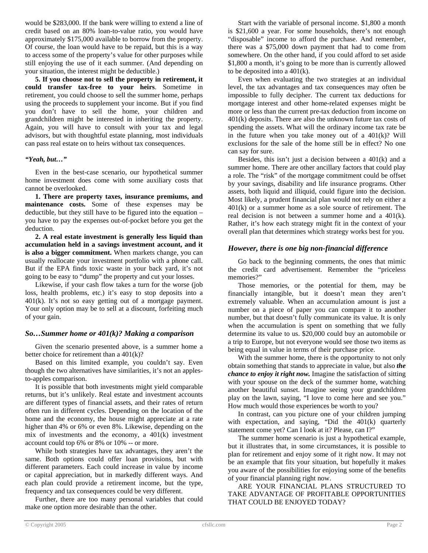would be \$283,000. If the bank were willing to extend a line of credit based on an 80% loan-to-value ratio, you would have approximately \$175,000 available to borrow from the property. Of course, the loan would have to be repaid, but this is a way to access some of the property's value for other purposes while still enjoying the use of it each summer. (And depending on your situation, the interest might be deductible.)

**5. If you choose not to sell the property in retirement, it could transfer tax-free to your heirs**. Sometime in retirement, you could choose to sell the summer home, perhaps using the proceeds to supplement your income. But if you find you don't have to sell the home, your children and grandchildren might be interested in inheriting the property. Again, you will have to consult with your tax and legal advisors, but with thoughtful estate planning, most individuals can pass real estate on to heirs without tax consequences.

#### *"Yeah, but…"*

Even in the best-case scenario, our hypothetical summer home investment does come with some auxiliary costs that cannot be overlooked.

**1. There are property taxes, insurance premiums, and maintenance costs.** Some of these expenses may be deductible, but they still have to be figured into the equation – you have to pay the expenses out-of-pocket before you get the deduction.

**2. A real estate investment is generally less liquid than accumulation held in a savings investment account, and it is also a bigger commitment.** When markets change, you can usually reallocate your investment portfolio with a phone call. But if the EPA finds toxic waste in your back yard, it's not going to be easy to "dump" the property and cut your losses.

Likewise, if your cash flow takes a turn for the worse (job loss, health problems, etc.) it's easy to stop deposits into a 401(k). It's not so easy getting out of a mortgage payment. Your only option may be to sell at a discount, forfeiting much of your gain.

#### *So…Summer home or 401(k)? Making a comparison*

Given the scenario presented above, is a summer home a better choice for retirement than a 401(k)?

Based on this limited example, you couldn't say. Even though the two alternatives have similarities, it's not an applesto-apples comparison.

It is possible that both investments might yield comparable returns, but it's unlikely. Real estate and investment accounts are different types of financial assets, and their rates of return often run in different cycles. Depending on the location of the home and the economy, the house might appreciate at a rate higher than 4% or 6% or even 8%. Likewise, depending on the mix of investments and the economy, a 401(k) investment account could top 6% or 8% or 10% -- or more.

While both strategies have tax advantages, they aren't the same. Both options could offer loan provisions, but with different parameters. Each could increase in value by income or capital appreciation, but in markedly different ways. And each plan could provide a retirement income, but the type, frequency and tax consequences could be very different.

Further, there are too many personal variables that could make one option more desirable than the other.

Start with the variable of personal income. \$1,800 a month is \$21,600 a year. For some households, there's not enough "disposable" income to afford the purchase. And remember, there was a \$75,000 down payment that had to come from somewhere. On the other hand, if you could afford to set aside \$1,800 a month, it's going to be more than is currently allowed to be deposited into a  $401(k)$ .

Even when evaluating the two strategies at an individual level, the tax advantages and tax consequences may often be impossible to fully decipher. The current tax deductions for mortgage interest and other home-related expenses might be more or less than the current pre-tax deduction from income on 401(k) deposits. There are also the unknown future tax costs of spending the assets. What will the ordinary income tax rate be in the future when you take money out of a 401(k)? Will exclusions for the sale of the home still be in effect? No one can say for sure.

Besides, this isn't just a decision between a 401(k) and a summer home. There are other ancillary factors that could play a role. The "risk" of the mortgage commitment could be offset by your savings, disability and life insurance programs. Other assets, both liquid and illiquid, could figure into the decision. Most likely, a prudent financial plan would not rely on either a 401(k) or a summer home as a sole source of retirement. The real decision is not between a summer home and a 401(k). Rather, it's how each strategy might fit in the context of your overall plan that determines which strategy works best for you.

### *However, there is one big non-financial difference*

Go back to the beginning comments, the ones that mimic the credit card advertisement. Remember the "priceless memories?"

Those memories, or the potential for them, may be financially intangible, but it doesn't mean they aren't extremely valuable. When an accumulation amount is just a number on a piece of paper you can compare it to another number, but that doesn't fully communicate its value. It is only when the accumulation is spent on something that we fully determine its value to us. \$20,000 could buy an automobile or a trip to Europe, but not everyone would see those two items as being equal in value in terms of their purchase price.

With the summer home, there is the opportunity to not only obtain something that stands to appreciate in value, but also *the chance to enjoy it right now.* Imagine the satisfaction of sitting with your spouse on the deck of the summer home, watching another beautiful sunset. Imagine seeing your grandchildren play on the lawn, saying, "I love to come here and see you." How much would those experiences be worth to you?

In contrast, can you picture one of your children jumping with expectation, and saying, "Did the 401(k) quarterly statement come yet? Can I look at it? Please, can I?"

The summer home scenario is just a hypothetical example, but it illustrates that, in some circumstances, it is possible to plan for retirement and enjoy some of it right now. It may not be an example that fits your situation, but hopefully it makes you aware of the possibilities for enjoying some of the benefits of your financial planning right now.

ARE YOUR FINANCIAL PLANS STRUCTURED TO TAKE ADVANTAGE OF PROFITABLE OPPORTUNITIES THAT COULD BE ENJOYED TODAY?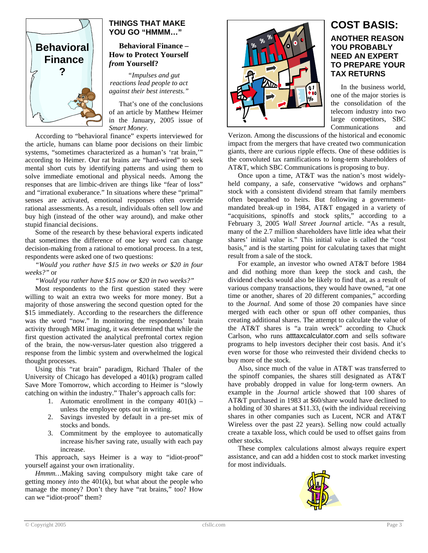

# **THINGS THAT MAKE YOU GO "HMMM…"**

#### **Behavioral Finance – How to Protect Yourself**  *from* **Yourself?**

*"Impulses and gut reactions lead people to act against their best interests."* 

That's one of the conclusions of an article by Matthew Heimer in the January, 2005 issue of *Smart Money.* 

According to "behavioral finance" experts interviewed for the article, humans can blame poor decisions on their limbic systems, "sometimes characterized as a human's 'rat brain,'" according to Heimer. Our rat brains are "hard-wired" to seek mental short cuts by identifying patterns and using them to solve immediate emotional and physical needs. Among the responses that are limbic-driven are things like "fear of loss" and "irrational exuberance." In situations where these "primal" senses are activated, emotional responses often override rational assessments. As a result, individuals often sell low and buy high (instead of the other way around), and make other stupid financial decisions.

Some of the research by these behavioral experts indicated that sometimes the difference of one key word can change decision-making from a rational to emotional process. In a test, respondents were asked one of two questions:

*"Would you rather have \$15 in two weeks or \$20 in four weeks?"* or

*"Would you rather have \$15 now or \$20 in two weeks?"* 

Most respondents to the first question stated they were willing to wait an extra two weeks for more money. But a majority of those answering the second question opted for the \$15 immediately. According to the researchers the difference was the word "now." In monitoring the respondents' brain activity through MRI imaging, it was determined that while the first question activated the analytical prefrontal cortex region of the brain, the now-versus-later question also triggered a response from the limbic system and overwhelmed the logical thought processes.

Using this "rat brain" paradigm, Richard Thaler of the University of Chicago has developed a 401(k) program called Save More Tomorrow, which according to Heimer is "slowly catching on within the industry." Thaler's approach calls for:

- 1. Automatic enrollment in the company  $401(k)$  unless the employee opts out in writing.
- 2. Savings invested by default in a pre-set mix of stocks and bonds.
- 3. Commitment by the employee to automatically increase his/her saving rate, usually with each pay increase.

This approach, says Heimer is a way to "idiot-proof" yourself against your own irrationality.

*Hmmm…*Making saving compulsory might take care of getting money *into* the 401(k), but what about the people who manage the money? Don't they have "rat brains," too? How can we "idiot-proof" them?



# **COST BASIS: ANOTHER REASON YOU PROBABLY NEED AN EXPERT TO PREPARE YOUR TAX RETURNS**

In the business world, one of the major stories is the consolidation of the telecom industry into two large competitors, SBC Communications and

Verizon. Among the discussions of the historical and economic impact from the mergers that have created two communication giants, there are curious ripple effects. One of these oddities is the convoluted tax ramifications to long-term shareholders of AT&T, which SBC Communications is proposing to buy.

Once upon a time, AT&T was the nation's most widelyheld company, a safe, conservative "widows and orphans" stock with a consistent dividend stream that family members often bequeathed to heirs. But following a governmentmandated break-up in 1984, AT&T engaged in a variety of "acquisitions, spinoffs and stock splits," according to a February 3, 2005 *Wall Street Journal* article. "As a result, many of the 2.7 million shareholders have little idea what their shares' initial value is." This initial value is called the "cost basis," and is the starting point for calculating taxes that might result from a sale of the stock.

For example, an investor who owned AT&T before 1984 and did nothing more than keep the stock and cash, the dividend checks would also be likely to find that, as a result of various company transactions, they would have owned, "at one time or another, shares of 20 different companies," according to the *Journal.* And some of those 20 companies have since merged with each other or spun off other companies, thus creating additional shares. The attempt to calculate the value of the AT&T shares is "a train wreck" according to Chuck Carlson, who runs atttaxcalculator.com and sells software programs to help investors decipher their cost basis. And it's even worse for those who reinvested their dividend checks to buy more of the stock.

Also, since much of the value in AT&T was transferred to the spinoff companies, the shares still designated as AT&T have probably dropped in value for long-term owners. An example in the *Journal* article showed that 100 shares of AT&T purchased in 1983 at \$60/share would have declined to a holding of 30 shares at \$11.33, (with the individual receiving shares in other companies such as Lucent, NCR and AT&T Wireless over the past 22 years). Selling now could actually create a taxable loss, which could be used to offset gains from other stocks.

These complex calculations almost always require expert assistance, and can add a hidden cost to stock market investing for most individuals.

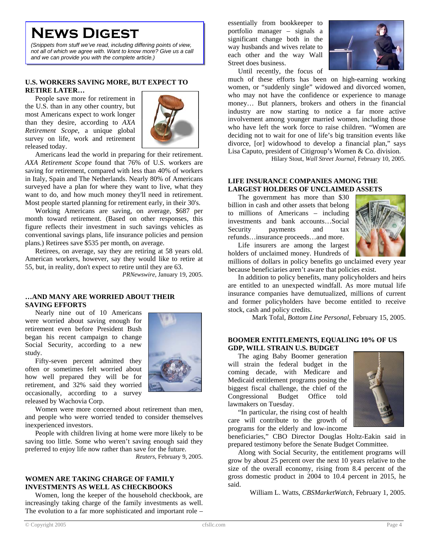# **News Digest**

*(Snippets from stuff we've read, including differing points of view, not all of which we agree with. Want to know more? Give us a call and we can provide you with the complete article.)*

#### **U.S. WORKERS SAVING MORE, BUT EXPECT TO RETIRE LATER…**

People save more for retirement in the U.S. than in any other country, but most Americans expect to work longer than they desire, according to *AXA Retirement Scope*, a unique global survey on life, work and retirement released today.



Americans lead the world in preparing for their retirement. *AXA Retirement Scope* found that 76% of U.S. workers are saving for retirement, compared with less than 40% of workers in Italy, Spain and The Netherlands. Nearly 80% of Americans surveyed have a plan for where they want to live, what they want to do, and how much money they'll need in retirement. Most people started planning for retirement early, in their 30's.

Working Americans are saving, on average, \$687 per month toward retirement. (Based on other responses, this figure reflects their investment in such savings vehicles as conventional savings plans, life insurance policies and pension plans.) Retirees save \$535 per month, on average.

Retirees, on average, say they are retiring at 58 years old. American workers, however, say they would like to retire at 55, but, in reality, don't expect to retire until they are 63.

*PRNewswire*, January 19, 2005.

#### **…AND MANY ARE WORRIED ABOUT THEIR SAVING EFFORTS**

Nearly nine out of 10 Americans were worried about saving enough for retirement even before President Bush began his recent campaign to change Social Security, according to a new study.

Fifty-seven percent admitted they often or sometimes felt worried about how well prepared they will be for retirement, and 32% said they worried occasionally, according to a survey released by Wachovia Corp.



Women were more concerned about retirement than men, and people who were worried tended to consider themselves inexperienced investors.

People with children living at home were more likely to be saving too little. Some who weren't saving enough said they preferred to enjoy life now rather than save for the future.

*Reuters*, February 9, 2005.

#### **WOMEN ARE TAKING CHARGE OF FAMILY INVESTMENTS AS WELL AS CHECKBOOKS**

Women, long the keeper of the household checkbook, are increasingly taking charge of the family investments as well. The evolution to a far more sophisticated and important role – essentially from bookkeeper to portfolio manager – signals a significant change both in the way husbands and wives relate to each other and the way Wall Street does business.



Until recently, the focus of

much of these efforts has been on high-earning working women, or "suddenly single" widowed and divorced women, who may not have the confidence or experience to manage money… But planners, brokers and others in the financial industry are now starting to notice a far more active involvement among younger married women, including those who have left the work force to raise children. "Women are deciding not to wait for one of life's big transition events like divorce, [or] widowhood to develop a financial plan," says Lisa Caputo, president of Citigroup's Women & Co. division.

Hilary Stout, *Wall Street Journal*, February 10, 2005.

#### **LIFE INSURANCE COMPANIES AMONG THE LARGEST HOLDERS OF UNCLAIMED ASSETS**

The government has more than \$30 billion in cash and other assets that belong to millions of Americans – including investments and bank accounts…Social Security payments and tax refunds…insurance proceeds…and more.



Life insurers are among the largest holders of unclaimed money. Hundreds of

millions of dollars in policy benefits go unclaimed every year because beneficiaries aren't aware that policies exist.

In addition to policy benefits, many policyholders and heirs are entitled to an unexpected windfall. As more mutual life insurance companies have demutualized, millions of current and former policyholders have become entitled to receive stock, cash and policy credits.

Mark Tofal, *Bottom Line Personal*, February 15, 2005.

#### **BOOMER ENTITLEMENTS, EQUALING 10% OF US GDP, WILL STRAIN U.S. BUDGET**

The aging Baby Boomer generation will strain the federal budget in the coming decade, with Medicare and Medicaid entitlement programs posing the biggest fiscal challenge, the chief of the Congressional Budget Office told lawmakers on Tuesday.



"In particular, the rising cost of health care will contribute to the growth of programs for the elderly and low-income

beneficiaries," CBO Director Douglas Holtz-Eakin said in prepared testimony before the Senate Budget Committee.

Along with Social Security, the entitlement programs will grow by about 25 percent over the next 10 years relative to the size of the overall economy, rising from 8.4 percent of the gross domestic product in 2004 to 10.4 percent in 2015, he said.

William L. Watts, *CBSMarketWatch*, February 1, 2005.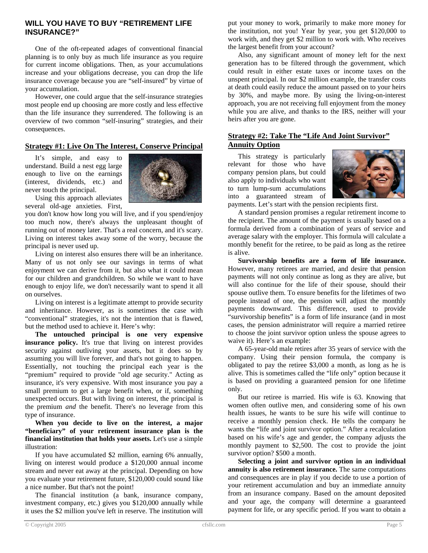# **WILL YOU HAVE TO BUY "RETIREMENT LIFE INSURANCE?"**

One of the oft-repeated adages of conventional financial planning is to only buy as much life insurance as you require for current income obligations. Then, as your accumulations increase and your obligations decrease, you can drop the life insurance coverage because you are "self-insured" by virtue of your accumulation.

However, one could argue that the self-insurance strategies most people end up choosing are more costly and less effective than the life insurance they surrendered. The following is an overview of two common "self-insuring" strategies, and their consequences.

### **Strategy #1: Live On The Interest, Conserve Principal**

It's simple, and easy to understand. Build a nest egg large enough to live on the earnings (interest, dividends, etc.) and never touch the principal.



Using this approach alleviates several old-age anxieties. First,

you don't know how long you will live, and if you spend/enjoy too much now, there's always the unpleasant thought of running out of money later. That's a real concern, and it's scary. Living on interest takes away some of the worry, because the principal is never used up.

Living on interest also ensures there will be an inheritance. Many of us not only see our savings in terms of what enjoyment we can derive from it, but also what it could mean for our children and grandchildren. So while we want to have enough to enjoy life, we don't necessarily want to spend it all on ourselves.

Living on interest is a legitimate attempt to provide security and inheritance. However, as is sometimes the case with "conventional" strategies, it's not the intention that is flawed, but the method used to achieve it. Here's why:

**The untouched principal is one very expensive insurance policy.** It's true that living on interest provides security against outliving your assets, but it does so by assuming you will live forever, and that's not going to happen. Essentially, not touching the principal each year is the "premium" required to provide "old age security." Acting as insurance, it's very expensive. With most insurance you pay a small premium to get a large benefit when, or if, something unexpected occurs. But with living on interest, the principal is the premium *and* the benefit. There's no leverage from this type of insurance.

**When you decide to live on the interest, a major "beneficiary" of your retirement insurance plan is the financial institution that holds your assets.** Let's use a simple illustration:

If you have accumulated \$2 million, earning 6% annually, living on interest would produce a \$120,000 annual income stream and never eat away at the principal. Depending on how you evaluate your retirement future, \$120,000 could sound like a nice number. But that's not the point!

The financial institution (a bank, insurance company, investment company, etc.) gives you \$120,000 annually while it uses the \$2 million you've left in reserve. The institution will put your money to work, primarily to make more money for the institution, not you! Year by year, you get \$120,000 to work with, and they get \$2 million to work with. Who receives the largest benefit from your account?

Also, any significant amount of money left for the next generation has to be filtered through the government, which could result in either estate taxes or income taxes on the unspent principal. In our \$2 million example, the transfer costs at death could easily reduce the amount passed on to your heirs by 30%, and maybe more. By using the living-on-interest approach, you are not receiving full enjoyment from the money while you are alive, and thanks to the IRS, neither will your heirs after you are gone.

#### **Strategy #2: Take The "Life And Joint Survivor" Annuity Option**

This strategy is particularly relevant for those who have company pension plans, but could also apply to individuals who want to turn lump-sum accumulations into a guaranteed stream of



payments. Let's start with the pension recipients first.

A standard pension promises a regular retirement income to the recipient. The amount of the payment is usually based on a formula derived from a combination of years of service and average salary with the employer. This formula will calculate a monthly benefit for the retiree, to be paid as long as the retiree is alive.

**Survivorship benefits are a form of life insurance.** However, many retirees are married, and desire that pension payments will not only continue as long as they are alive, but will also continue for the life of their spouse, should their spouse outlive them. To ensure benefits for the lifetimes of two people instead of one, the pension will adjust the monthly payments downward. This difference, used to provide "survivorship benefits" is a form of life insurance (and in most cases, the pension administrator will require a married retiree to choose the joint survivor option unless the spouse agrees to waive it). Here's an example:

A 65-year-old male retires after 35 years of service with the company. Using their pension formula, the company is obligated to pay the retiree \$3,000 a month, as long as he is alive. This is sometimes called the "life only" option because it is based on providing a guaranteed pension for one lifetime only.

But our retiree is married. His wife is 63. Knowing that women often outlive men, and considering some of his own health issues, he wants to be sure his wife will continue to receive a monthly pension check. He tells the company he wants the "life and joint survivor option." After a recalculation based on his wife's age and gender, the company adjusts the monthly payment to \$2,500. The cost to provide the joint survivor option? \$500 a month.

**Selecting a joint and survivor option in an individual annuity is also retirement insurance.** The same computations and consequences are in play if you decide to use a portion of your retirement accumulation and buy an immediate annuity from an insurance company. Based on the amount deposited and your age, the company will determine a guaranteed payment for life, or any specific period. If you want to obtain a